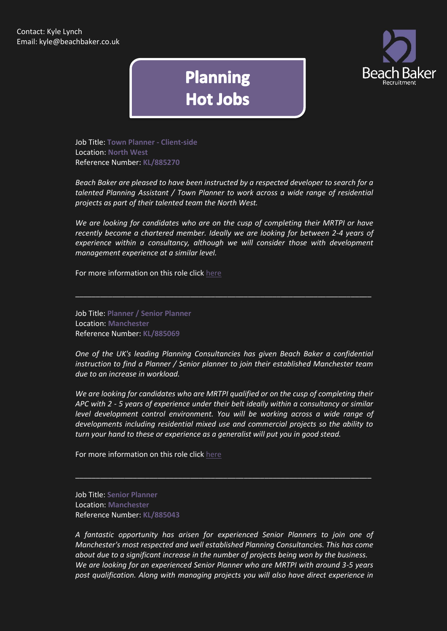

## **Planning Hot Jobs**

Job Title: **Town Planner - Client-side** Location: **North West** Reference Number: **KL/885270**

*Beach Baker are pleased to have been instructed by a respected developer to search for a talented Planning Assistant / Town Planner to work across a wide range of residential projects as part of their talented team the North West.*

*We are looking for candidates who are on the cusp of completing their MRTPI or have recently become a chartered member. Ideally we are looking for between 2-4 years of experience within a consultancy, although we will consider those with development management experience at a similar level.*

\_\_\_\_\_\_\_\_\_\_\_\_\_\_\_\_\_\_\_\_\_\_\_\_\_\_\_\_\_\_\_\_\_\_\_\_\_\_\_\_\_\_\_\_\_\_\_\_\_\_\_\_\_\_\_\_\_\_\_\_\_\_\_\_\_\_\_\_\_\_\_\_

For more information on this role click [here](http://www.beachbaker.co.uk/jobs/town-planner-client-side-north-west-north-west-england/751-1/)

Job Title: **Planner / Senior Planner** Location: **Manchester** Reference Number: **KL/885069**

*One of the UK's leading Planning Consultancies has given Beach Baker a confidential instruction to find a Planner / Senior planner to join their established Manchester team due to an increase in workload.*

*We are looking for candidates who are MRTPI qualified or on the cusp of completing their APC with 2 - 5 years of experience under their belt ideally within a consultancy or similar level development control environment. You will be working across a wide range of developments including residential mixed use and commercial projects so the ability to turn your hand to these or experience as a generalist will put you in good stead.*

\_\_\_\_\_\_\_\_\_\_\_\_\_\_\_\_\_\_\_\_\_\_\_\_\_\_\_\_\_\_\_\_\_\_\_\_\_\_\_\_\_\_\_\_\_\_\_\_\_\_\_\_\_\_\_\_\_\_\_\_\_\_\_\_\_\_\_\_\_\_\_\_

For more information on this role click [here](http://www.beachbaker.co.uk/jobs/planner-senior-planner-manchester-manchester/593-1/)

Job Title: **Senior Planner** Location: **Manchester** Reference Number: **KL/885043**

*A fantastic opportunity has arisen for experienced Senior Planners to join one of Manchester's most respected and well established Planning Consultancies. This has come about due to a significant increase in the number of projects being won by the business. We are looking for an experienced Senior Planner who are MRTPI with around 3-5 years post qualification. Along with managing projects you will also have direct experience in*